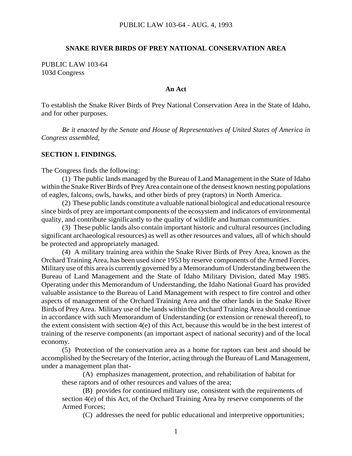#### **SNAKE RIVER BIRDS OF PREY NATIONAL CONSERVATION AREA**

PUBLIC LAW 103-64 103d Congress

### **An Act**

To establish the Snake River Birds of Prey National Conservation Area in the State of Idaho, and for other purposes.

*Be it enacted by the Senate and House of Representatives of United States of America in Congress assembled,*

#### **SECTION 1. FINDINGS.**

The Congress finds the following:

(1) The public lands managed by the Bureau of Land Management in the State of Idaho within the Snake River Birds of Prey Area contain one of the densest known nesting populations of eagles, falcons, owls, hawks, and other birds of prey (raptors) in North America.

(2) These public lands constitute a valuable national biological and educational resource since birds of prey are important components of the ecosystem and indicators of environmental quality, and contribute significantly to the quality of wildlife and human communities.

(3) These public lands also contain important historic and cultural resources (including significant archaeological resources) as well as other resources and values, all of which should be protected and appropriately managed.

(4) A military training area within the Snake River Birds of Prey Area, known as the Orchard Training Area, has been used since 1953 by reserve components of the Armed Forces. Military use of this area is currently governed by a Memorandum of Understanding between the Bureau of Land Management and the State of Idaho Military Division, dated May 1985. Operating under this Memorandum of Understanding, the Idaho National Guard has provided valuable assistance to the Bureau of Land Management with respect to fire control and other aspects of management of the Orchard Training Area and the other lands in the Snake River Birds of Prey Area. Military use of the lands within the Orchard Training Area should continue in accordance with such Memorandum of Understanding (or extension or renewal thereof), to the extent consistent with section 4(e) of this Act, because this would be in the best interest of training of the reserve components (an important aspect of national security) and of the local economy.

(5) Protection of the conservation area as a home for raptors can best and should be accomplished by the Secretary of the Interior, acting through the Bureau of Land Management, under a management plan that-

(A) emphasizes management, protection, and rehabilitation of habitat for these raptors and of other resources and values of the area;

(B) provides for continued military use, consistent with the requirements of section 4(e) of this Act, of the Orchard Training Area by reserve components of the Armed Forces;

(C) addresses the need for public educational and interpretive opportunities;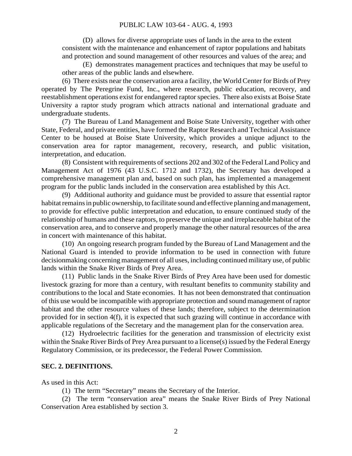### PUBLIC LAW 103-64 - AUG. 4, 1993

(D) allows for diverse appropriate uses of lands in the area to the extent consistent with the maintenance and enhancement of raptor populations and habitats and protection and sound management of other resources and values of the area; and

(E) demonstrates management practices and techniques that may be useful to other areas of the public lands and elsewhere.

(6) There exists near the conservation area a facility, the World Center for Birds of Prey operated by The Peregrine Fund, Inc., where research, public education, recovery, and reestablishment operations exist for endangered raptor species. There also exists at Boise State University a raptor study program which attracts national and international graduate and undergraduate students.

(7) The Bureau of Land Management and Boise State University, together with other State, Federal, and private entities, have formed the Raptor Research and Technical Assistance Center to be housed at Boise State University, which provides a unique adjunct to the conservation area for raptor management, recovery, research, and public visitation, interpretation, and education.

(8) Consistent with requirements of sections 202 and 302 of the Federal Land Policy and Management Act of 1976 (43 U.S.C. 1712 and 1732), the Secretary has developed a comprehensive management plan and, based on such plan, has implemented a management program for the public lands included in the conservation area established by this Act.

(9) Additional authority and guidance must be provided to assure that essential raptor habitat remains in public ownership, to facilitate sound and effective planning and management, to provide for effective public interpretation and education, to ensure continued study of the relationship of humans and these raptors, to preserve the unique and irreplaceable habitat of the conservation area, and to conserve and properly manage the other natural resources of the area in concert with maintenance of this habitat.

(10) An ongoing research program funded by the Bureau of Land Management and the National Guard is intended to provide information to be used in connection with future decisionmaking concerning management of all uses, including continued military use, of public lands within the Snake River Birds of Prey Area.

(11) Public lands in the Snake River Birds of Prey Area have been used for domestic livestock grazing for more than a century, with resultant benefits to community stability and contributions to the local and State economies. It has not been demonstrated that continuation of this use would be incompatible with appropriate protection and sound management of raptor habitat and the other resource values of these lands; therefore, subject to the determination provided for in section 4(f), it is expected that such grazing will continue in accordance with applicable regulations of the Secretary and the management plan for the conservation area.

(12) Hydroelectric facilities for the generation and transmission of electricity exist within the Snake River Birds of Prey Area pursuant to a license(s) issued by the Federal Energy Regulatory Commission, or its predecessor, the Federal Power Commission.

### **SEC. 2. DEFINITIONS.**

As used in this Act:

(1) The term "Secretary" means the Secretary of the Interior.

(2) The term "conservation area" means the Snake River Birds of Prey National Conservation Area established by section 3.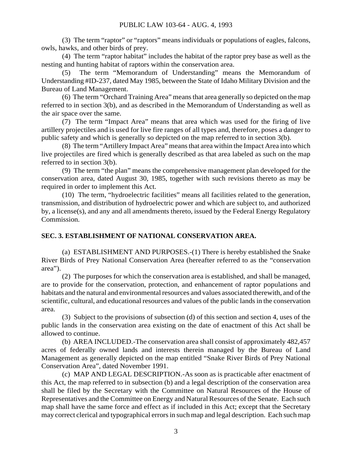(3) The term "raptor" or "raptors" means individuals or populations of eagles, falcons, owls, hawks, and other birds of prey.

(4) The term "raptor habitat" includes the habitat of the raptor prey base as well as the nesting and hunting habitat of raptors within the conservation area.

(5) The term "Memorandum of Understanding" means the Memorandum of Understanding #ID-237, dated May 1985, between the State of Idaho Military Division and the Bureau of Land Management.

(6) The term "Orchard Training Area" means that area generally so depicted on the map referred to in section 3(b), and as described in the Memorandum of Understanding as well as the air space over the same.

(7) The term "Impact Area" means that area which was used for the firing of live artillery projectiles and is used for live fire ranges of all types and, therefore, poses a danger to public safety and which is generally so depicted on the map referred to in section 3(b).

(8) The term "Artillery Impact Area" means that area within the Impact Area into which live projectiles are fired which is generally described as that area labeled as such on the map referred to in section 3(b).

(9) The term "the plan" means the comprehensive management plan developed for the conservation area, dated August 30, 1985, together with such revisions thereto as may be required in order to implement this Act.

(10) The term, "hydroelectric facilities" means all facilities related to the generation, transmission, and distribution of hydroelectric power and which are subject to, and authorized by, a license(s), and any and all amendments thereto, issued by the Federal Energy Regulatory Commission.

# **SEC. 3. ESTABLISHMENT OF NATIONAL CONSERVATION AREA.**

(a) ESTABLISHMENT AND PURPOSES.-(1) There is hereby established the Snake River Birds of Prey National Conservation Area (hereafter referred to as the "conservation area").

(2) The purposes for which the conservation area is established, and shall be managed, are to provide for the conservation, protection, and enhancement of raptor populations and habitats and the natural and environmental resources and values associated therewith, and of the scientific, cultural, and educational resources and values of the public lands in the conservation area.

(3) Subject to the provisions of subsection (d) of this section and section 4, uses of the public lands in the conservation area existing on the date of enactment of this Act shall be allowed to continue.

(b) AREA INCLUDED.-The conservation area shall consist of approximately 482,457 acres of federally owned lands and interests therein managed by the Bureau of Land Management as generally depicted on the map entitled "Snake River Birds of Prey National Conservation Area", dated November 1991.

(c) MAP AND LEGAL DESCRIPTION.-As soon as is practicable after enactment of this Act, the map referred to in subsection (b) and a legal description of the conservation area shall be filed by the Secretary with the Committee on Natural Resources of the House of Representatives and the Committee on Energy and Natural Resources of the Senate. Each such map shall have the same force and effect as if included in this Act; except that the Secretary may correct clerical and typographical errors in such map and legal description. Each such map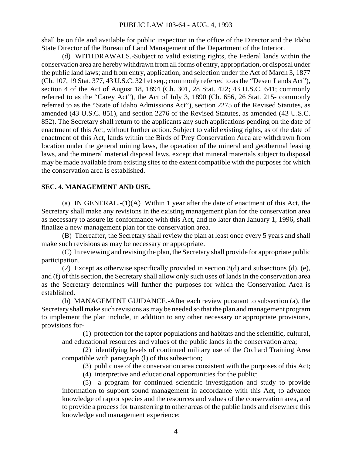shall be on file and available for public inspection in the office of the Director and the Idaho State Director of the Bureau of Land Management of the Department of the Interior.

(d) WITHDRAWALS.-Subject to valid existing rights, the Federal lands within the conservation area are hereby withdrawn from all forms of entry, appropriation, or disposal under the public land laws; and from entry, application, and selection under the Act of March 3, 1877 (Ch. 107, 19 Stat. 377, 43 U.S.C. 321 et seq.; commonly referred to as the "Desert Lands Act"), section 4 of the Act of August 18, 1894 (Ch. 301, 28 Stat. 422; 43 U.S.C. 641; commonly referred to as the "Carey Act"), the Act of July 3, 1890 (Ch. 656, 26 Stat. 215- commonly referred to as the "State of Idaho Admissions Act"), section 2275 of the Revised Statutes, as amended (43 U.S.C. 851), and section 2276 of the Revised Statutes, as amended (43 U.S.C. 852). The Secretary shall return to the applicants any such applications pending on the date of enactment of this Act, without further action. Subject to valid existing rights, as of the date of enactment of this Act, lands within the Birds of Prey Conservation Area are withdrawn from location under the general mining laws, the operation of the mineral and geothermal leasing laws, and the mineral material disposal laws, except that mineral materials subject to disposal may be made available from existing sites to the extent compatible with the purposes for which the conservation area is established.

### **SEC. 4. MANAGEMENT AND USE.**

(a) IN GENERAL.-(1)(A) Within 1 year after the date of enactment of this Act, the Secretary shall make any revisions in the existing management plan for the conservation area as necessary to assure its conformance with this Act, and no later than January 1, 1996, shall finalize a new management plan for the conservation area.

(B) Thereafter, the Secretary shall review the plan at least once every 5 years and shall make such revisions as may be necessary or appropriate.

(C) In reviewing and revising the plan, the Secretary shall provide for appropriate public participation.

(2) Except as otherwise specifically provided in section 3(d) and subsections (d), (e), and (f) of this section, the Secretary shall allow only such uses of lands in the conservation area as the Secretary determines will further the purposes for which the Conservation Area is established.

(b) MANAGEMENT GUIDANCE.-After each review pursuant to subsection (a), the Secretary shall make such revisions as may be needed so that the plan and management program to implement the plan include, in addition to any other necessary or appropriate provisions, provisions for-

(1) protection for the raptor populations and habitats and the scientific, cultural, and educational resources and values of the public lands in the conservation area;

(2) identifying levels of continued military use of the Orchard Training Area compatible with paragraph (l) of this subsection;

(3) public use of the conservation area consistent with the purposes of this Act;

(4) interpretive and educational opportunities for the public;

(5) a program for continued scientific investigation and study to provide information to support sound management in accordance with this Act, to advance knowledge of raptor species and the resources and values of the conservation area, and to provide a process for transferring to other areas of the public lands and elsewhere this knowledge and management experience;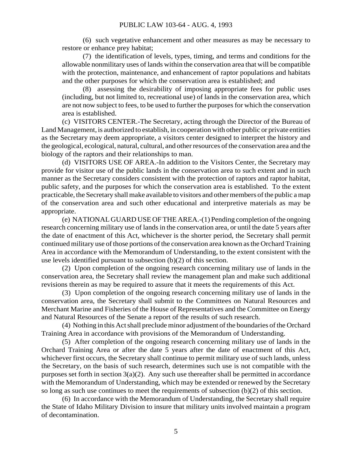(6) such vegetative enhancement and other measures as may be necessary to restore or enhance prey habitat;

(7) the identification of levels, types, timing, and terms and conditions for the allowable nonmilitary uses of lands within the conservation area that will be compatible with the protection, maintenance, and enhancement of raptor populations and habitats and the other purposes for which the conservation area is established; and

(8) assessing the desirability of imposing appropriate fees for public uses (including, but not limited to, recreational use) of lands in the conservation area, which are not now subject to fees, to be used to further the purposes for which the conservation area is established.

(c) VISITORS CENTER.-The Secretary, acting through the Director of the Bureau of Land Management, is authorized to establish, in cooperation with other public or private entities as the Secretary may deem appropriate, a visitors center designed to interpret the history and the geological, ecological, natural, cultural, and other resources of the conservation area and the biology of the raptors and their relationships to man.

(d) VISITORS USE OF AREA.-In addition to the Visitors Center, the Secretary may provide for visitor use of the public lands in the conservation area to such extent and in such manner as the Secretary considers consistent with the protection of raptors and raptor habitat, public safety, and the purposes for which the conservation area is established. To the extent practicable, the Secretary shall make available to visitors and other members of the public a map of the conservation area and such other educational and interpretive materials as may be appropriate.

(e) NATIONAL GUARD USE OF THE AREA.-(1) Pending completion of the ongoing research concerning military use of lands in the conservation area, or until the date 5 years after the date of enactment of this Act, whichever is the shorter period, the Secretary shall permit continued military use of those portions of the conservation area known as the Orchard Training Area in accordance with the Memorandum of Understanding, to the extent consistent with the use levels identified pursuant to subsection (b)(2) of this section.

(2) Upon completion of the ongoing research concerning military use of lands in the conservation area, the Secretary shall review the management plan and make such additional revisions therein as may be required to assure that it meets the requirements of this Act.

(3) Upon completion of the ongoing research concerning military use of lands in the conservation area, the Secretary shall submit to the Committees on Natural Resources and Merchant Marine and Fisheries of the House of Representatives and the Committee on Energy and Natural Resources of the Senate a report of the results of such research.

(4) Nothing in this Act shall preclude minor adjustment of the boundaries of the Orchard Training Area in accordance with provisions of the Memorandum of Understanding.

(5) After completion of the ongoing research concerning military use of lands in the Orchard Training Area or after the date 5 years after the date of enactment of this Act, whichever first occurs, the Secretary shall continue to permit military use of such lands, unless the Secretary, on the basis of such research, determines such use is not compatible with the purposes set forth in section  $3(a)(2)$ . Any such use thereafter shall be permitted in accordance with the Memorandum of Understanding, which may be extended or renewed by the Secretary so long as such use continues to meet the requirements of subsection (b)(2) of this section.

(6) In accordance with the Memorandum of Understanding, the Secretary shall require the State of Idaho Military Division to insure that military units involved maintain a program of decontamination.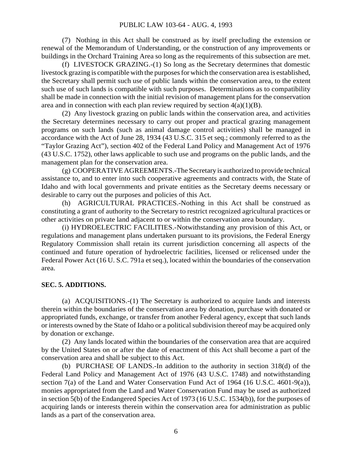(7) Nothing in this Act shall be construed as by itself precluding the extension or renewal of the Memorandum of Understanding, or the construction of any improvements or buildings in the Orchard Training Area so long as the requirements of this subsection are met.

(f) LIVESTOCK GRAZING.-(1) So long as the Secretary determines that domestic livestock grazing is compatible with the purposes for which the conservation area is established, the Secretary shall permit such use of public lands within the conservation area, to the extent such use of such lands is compatible with such purposes. Determinations as to compatibility shall be made in connection with the initial revision of management plans for the conservation area and in connection with each plan review required by section  $4(a)(1)(B)$ .

(2) Any livestock grazing on public lands within the conservation area, and activities the Secretary determines necessary to carry out proper and practical grazing management programs on such lands (such as animal damage control activities) shall be managed in accordance with the Act of June 28, 1934 (43 U.S.C. 315 et seq.; commonly referred to as the "Taylor Grazing Act"), section 402 of the Federal Land Policy and Management Act of 1976 (43 U.S.C. 1752), other laws applicable to such use and programs on the public lands, and the management plan for the conservation area.

(g) COOPERATIVE AGREEMENTS.-The Secretary is authorized to provide technical assistance to, and to enter into such cooperative agreements and contracts with, the State of Idaho and with local governments and private entities as the Secretary deems necessary or desirable to carry out the purposes and policies of this Act.

(h) AGRICULTURAL PRACTICES.-Nothing in this Act shall be construed as constituting a grant of authority to the Secretary to restrict recognized agricultural practices or other activities on private land adjacent to or within the conservation area boundary.

(i) HYDROELECTRIC FACILITIES.-Notwithstanding any provision of this Act, or regulations and management plans undertaken pursuant to its provisions, the Federal Energy Regulatory Commission shall retain its current jurisdiction concerning all aspects of the continued and future operation of hydroelectric facilities, licensed or relicensed under the Federal Power Act (16 U. S.C. 791a et seq.), located within the boundaries of the conservation area.

### **SEC. 5. ADDITIONS.**

(a) ACQUISITIONS.-(1) The Secretary is authorized to acquire lands and interests therein within the boundaries of the conservation area by donation, purchase with donated or appropriated funds, exchange, or transfer from another Federal agency, except that such lands or interests owned by the State of Idaho or a political subdivision thereof may be acquired only by donation or exchange.

(2) Any lands located within the boundaries of the conservation area that are acquired by the United States on or after the date of enactment of this Act shall become a part of the conservation area and shall be subject to this Act.

(b) PURCHASE OF LANDS.-In addition to the authority in section 318(d) of the Federal Land Policy and Management Act of 1976 (43 U.S.C. 1748) and notwithstanding section 7(a) of the Land and Water Conservation Fund Act of 1964 (16 U.S.C. 4601-9(a)), monies appropriated from the Land and Water Conservation Fund may be used as authorized in section 5(b) of the Endangered Species Act of 1973 (16 U.S.C. 1534(b)), for the purposes of acquiring lands or interests therein within the conservation area for administration as public lands as a part of the conservation area.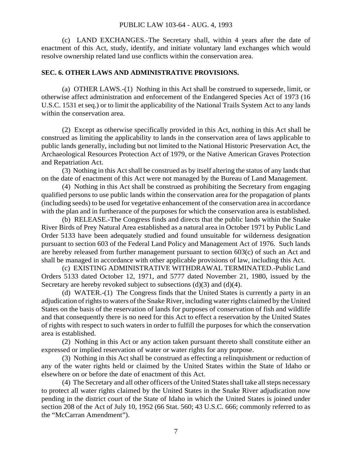#### PUBLIC LAW 103-64 - AUG. 4, 1993

(c) LAND EXCHANGES.-The Secretary shall, within 4 years after the date of enactment of this Act, study, identify, and initiate voluntary land exchanges which would resolve ownership related land use conflicts within the conservation area.

### **SEC. 6. OTHER LAWS AND ADMINISTRATIVE PROVISIONS.**

(a) OTHER LAWS.-(1) Nothing in this Act shall be construed to supersede, limit, or otherwise affect administration and enforcement of the Endangered Species Act of 1973 (16 U.S.C. 1531 et seq.) or to limit the applicability of the National Trails System Act to any lands within the conservation area.

(2) Except as otherwise specifically provided in this Act, nothing in this Act shall be construed as limiting the applicability to lands in the conservation area of laws applicable to public lands generally, including but not limited to the National Historic Preservation Act, the Archaeological Resources Protection Act of 1979, or the Native American Graves Protection and Repatriation Act.

(3) Nothing in this Act shall be construed as by itself altering the status of any lands that on the date of enactment of this Act were not managed by the Bureau of Land Management.

(4) Nothing in this Act shall be construed as prohibiting the Secretary from engaging qualified persons to use public lands within the conservation area for the propagation of plants (including seeds) to be used for vegetative enhancement of the conservation area in accordance with the plan and in furtherance of the purposes for which the conservation area is established.

(b) RELEASE.-The Congress finds and directs that the public lands within the Snake River Birds of Prey Natural Area established as a natural area in October 1971 by Public Land Order 5133 have been adequately studied and found unsuitable for wilderness designation pursuant to section 603 of the Federal Land Policy and Management Act of 1976. Such lands are hereby released from further management pursuant to section 603(c) of such an Act and shall be managed in accordance with other applicable provisions of law, including this Act.

(c) EXISTING ADMINISTRATIVE WITHDRAWAL TERMINATED.-Public Land Orders 5133 dated October 12, 1971, and 5777 dated November 21, 1980, issued by the Secretary are hereby revoked subject to subsections  $(d)(3)$  and  $(d)(4)$ .

(d) WATER.-(1) The Congress finds that the United States is currently a party in an adjudication of rights to waters of the Snake River, including water rights claimed by the United States on the basis of the reservation of lands for purposes of conservation of fish and wildlife and that consequently there is no need for this Act to effect a reservation by the United States of rights with respect to such waters in order to fulfill the purposes for which the conservation area is established.

(2) Nothing in this Act or any action taken pursuant thereto shall constitute either an expressed or implied reservation of water or water rights for any purpose.

(3) Nothing in this Act shall be construed as effecting a relinquishment or reduction of any of the water rights held or claimed by the United States within the State of Idaho or elsewhere on or before the date of enactment of this Act.

(4) The Secretary and all other officers of the United States shall take all steps necessary to protect all water rights claimed by the United States in the Snake River adjudication now pending in the district court of the State of Idaho in which the United States is joined under section 208 of the Act of July 10, 1952 (66 Stat. 560; 43 U.S.C. 666; commonly referred to as the "McCarran Amendment").